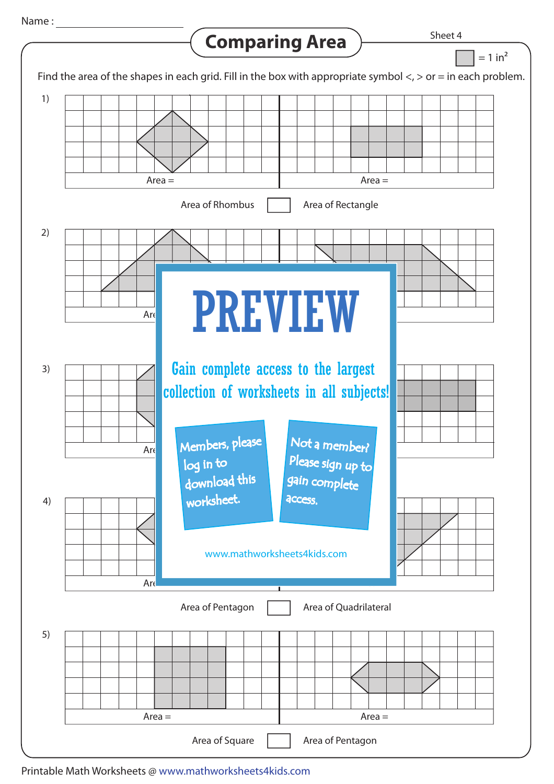## Name :

## **Comparing Area**